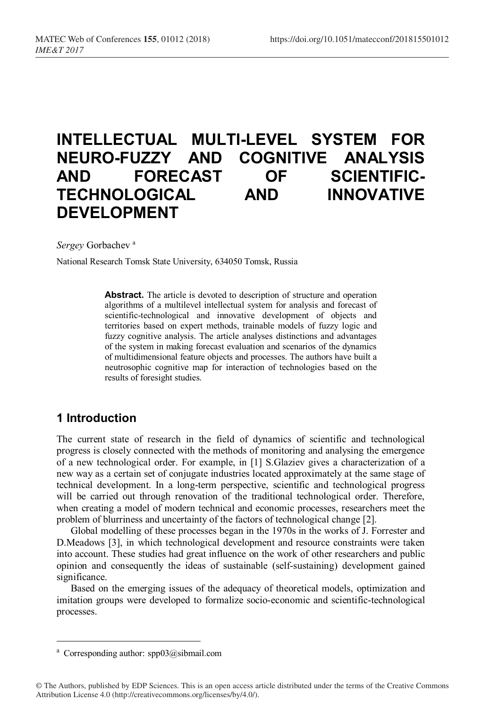# **INTELLECTUAL MULTI-LEVEL SYSTEM FOR NEURO-FUZZY AND COGNITIVE ANALYSIS AND FORECAST OF SCIENTIFIC-TECHNOLOGICAL AND INNOVATIVE DEVELOPMENT**

*Sergey* Gorbachev a

National Research Tomsk State University, 634050 Tomsk, Russia

**Abstract.** The article is devoted to description of structure and operation algorithms of a multilevel intellectual system for analysis and forecast of scientific-technological and innovative development of objects and territories based on expert methods, trainable models of fuzzy logic and fuzzy cognitive analysis. The article analyses distinctions and advantages of the system in making forecast evaluation and scenarios of the dynamics of multidimensional feature objects and processes. The authors have built a neutrosophic cognitive map for interaction of technologies based on the results of foresight studies.

# **1 Introduction**

The current state of research in the field of dynamics of scientific and technological progress is closely connected with the methods of monitoring and analysing the emergence of a new technological order. For example, in [1] S.Glaziev gives a characterization of a new way as a certain set of conjugate industries located approximately at the same stage of technical development. In a long-term perspective, scientific and technological progress will be carried out through renovation of the traditional technological order. Therefore, when creating a model of modern technical and economic processes, researchers meet the problem of blurriness and uncertainty of the factors of technological change [2].

Global modelling of these processes began in the 1970s in the works of J. Forrester and D.Meadows [3], in which technological development and resource constraints were taken into account. These studies had great influence on the work of other researchers and public opinion and consequently the ideas of sustainable (self-sustaining) development gained significance.

Based on the emerging issues of the adequacy of theoretical models, optimization and imitation groups were developed to formalize socio-economic and scientific-technological processes.

<sup>&</sup>lt;sup>a</sup> Corresponding author:  $\text{sp03} @$ sibmail.com

<sup>©</sup> The Authors, published by EDP Sciences. This is an open access article distributed under the terms of the Creative Commons Attribution License 4.0 (http://creativecommons.org/licenses/by/4.0/).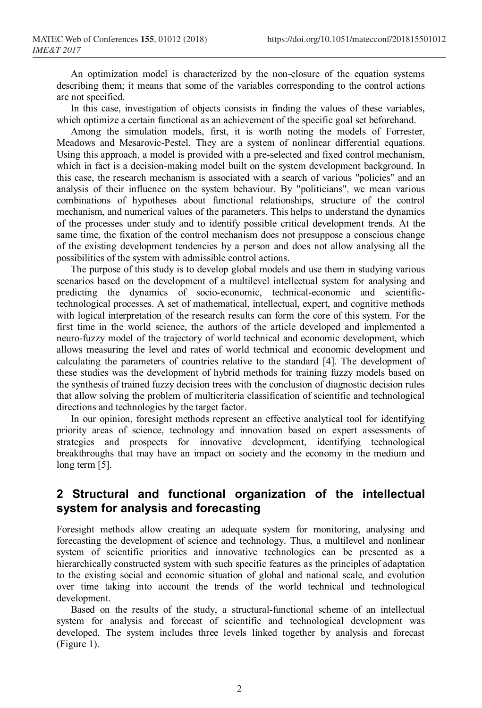An optimization model is characterized by the non-closure of the equation systems describing them; it means that some of the variables corresponding to the control actions are not specified.

In this case, investigation of objects consists in finding the values of these variables, which optimize a certain functional as an achievement of the specific goal set beforehand.

Among the simulation models, first, it is worth noting the models of Forrester, Meadows and Mesarovic-Pestel. They are a system of nonlinear differential equations. Using this approach, a model is provided with a pre-selected and fixed control mechanism, which in fact is a decision-making model built on the system development background. In this case, the research mechanism is associated with a search of various "policies" and an analysis of their influence on the system behaviour. By "politicians", we mean various combinations of hypotheses about functional relationships, structure of the control mechanism, and numerical values of the parameters. This helps to understand the dynamics of the processes under study and to identify possible critical development trends. At the same time, the fixation of the control mechanism does not presuppose a conscious change of the existing development tendencies by a person and does not allow analysing all the possibilities of the system with admissible control actions.

The purpose of this study is to develop global models and use them in studying various scenarios based on the development of a multilevel intellectual system for analysing and predicting the dynamics of socio-economic, technical-economic and scientifictechnological processes. A set of mathematical, intellectual, expert, and cognitive methods with logical interpretation of the research results can form the core of this system. For the first time in the world science, the authors of the article developed and implemented a neuro-fuzzy model of the trajectory of world technical and economic development, which allows measuring the level and rates of world technical and economic development and calculating the parameters of countries relative to the standard [4]. The development of these studies was the development of hybrid methods for training fuzzy models based on the synthesis of trained fuzzy decision trees with the conclusion of diagnostic decision rules that allow solving the problem of multicriteria classification of scientific and technological directions and technologies by the target factor.

In our opinion, foresight methods represent an effective analytical tool for identifying priority areas of science, technology and innovation based on expert assessments of strategies and prospects for innovative development, identifying technological breakthroughs that may have an impact on society and the economy in the medium and long term [5].

# **2 Structural and functional organization of the intellectual system for analysis and forecasting**

Foresight methods allow creating an adequate system for monitoring, analysing and forecasting the development of science and technology. Thus, a multilevel and nonlinear system of scientific priorities and innovative technologies can be presented as a hierarchically constructed system with such specific features as the principles of adaptation to the existing social and economic situation of global and national scale, and evolution over time taking into account the trends of the world technical and technological development.

Based on the results of the study, a structural-functional scheme of an intellectual system for analysis and forecast of scientific and technological development was developed. The system includes three levels linked together by analysis and forecast (Figure 1).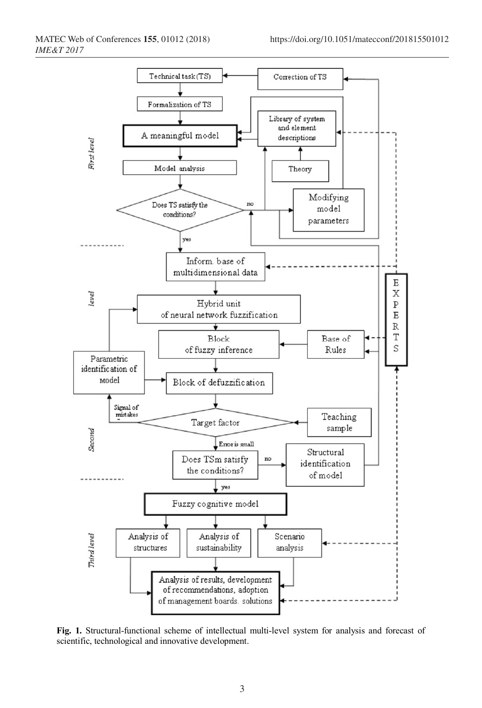

**Fig. 1.** Structural-functional scheme of intellectual multi-level system for analysis and forecast of scientific, technological and innovative development.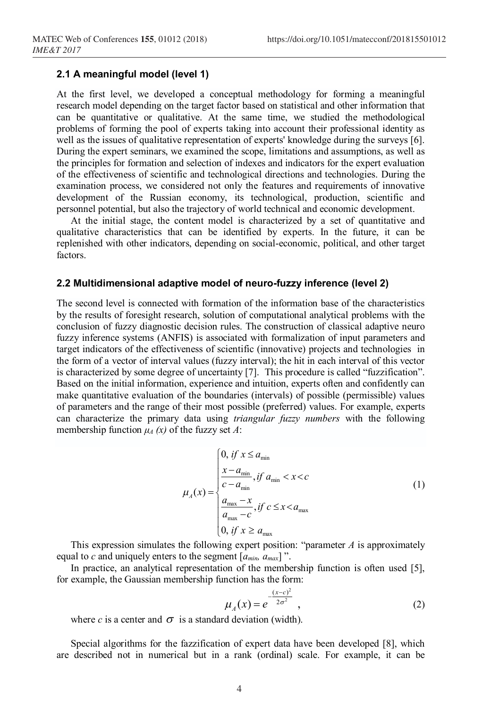#### **2.1 A meaningful model (level 1)**

At the first level, we developed a conceptual methodology for forming a meaningful research model depending on the target factor based on statistical and other information that can be quantitative or qualitative. At the same time, we studied the methodological problems of forming the pool of experts taking into account their professional identity as well as the issues of qualitative representation of experts' knowledge during the surveys [6]. During the expert seminars, we examined the scope, limitations and assumptions, as well as the principles for formation and selection of indexes and indicators for the expert evaluation of the effectiveness of scientific and technological directions and technologies. During the examination process, we considered not only the features and requirements of innovative development of the Russian economy, its technological, production, scientific and personnel potential, but also the trajectory of world technical and economic development.

At the initial stage, the content model is characterized by a set of quantitative and qualitative characteristics that can be identified by experts. In the future, it can be replenished with other indicators, depending on social-economic, political, and other target factors.

#### **2.2 Multidimensional adaptive model of neuro-fuzzy inference (level 2)**

The second level is connected with formation of the information base of the characteristics by the results of foresight research, solution of computational analytical problems with the conclusion of fuzzy diagnostic decision rules. The construction of classical adaptive neuro fuzzy inference systems (ANFIS) is associated with formalization of input parameters and target indicators of the effectiveness of scientific (innovative) projects and technologies in the form of a vector of interval values (fuzzy interval); the hit in each interval of this vector is characterized by some degree of uncertainty [7]. This procedure is called "fuzzification". Based on the initial information, experience and intuition, experts often and confidently can make quantitative evaluation of the boundaries (intervals) of possible (permissible) values of parameters and the range of their most possible (preferred) values. For example, experts can characterize the primary data using *triangular fuzzy numbers* with the following membership function  $\mu_A(x)$  of the fuzzy set *A*:

$$
\mu_A(x) = \begin{cases}\n0, & \text{if } x \le a_{\min} \\
\frac{x - a_{\min}}{c - a_{\min}}, & \text{if } a_{\min} < x < c \\
\frac{a_{\max} - x}{a_{\max} - c}, & \text{if } c \le x < a_{\max} \\
0, & \text{if } x \ge a_{\max}\n\end{cases} \tag{1}
$$

This expression simulates the following expert position: "parameter *A* is approximately equal to *c* and uniquely enters to the segment  $[a_{min}, a_{max}]$ ".

In practice, an analytical representation of the membership function is often used [5], for example, the Gaussian membership function has the form:

$$
\mu_A(x) = e^{-\frac{(x-c)^2}{2\sigma^2}}, \qquad (2)
$$

where *c* is a center and  $\sigma$  is a standard deviation (width).

Special algorithms for the fazzification of expert data have been developed [8], which are described not in numerical but in a rank (ordinal) scale. For example, it can be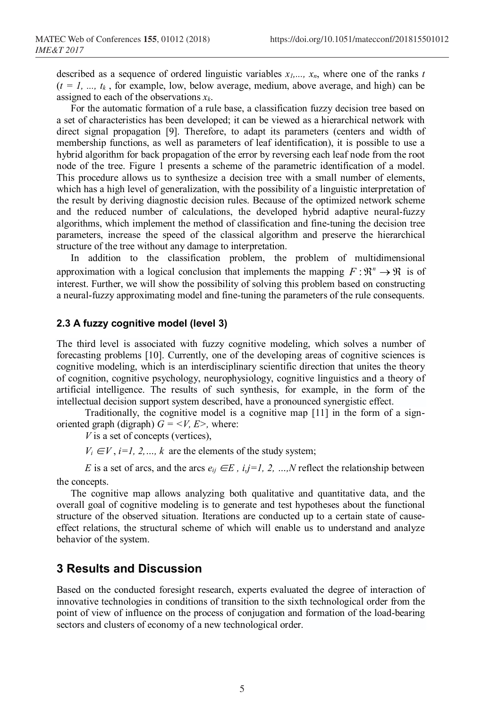described as a sequence of ordered linguistic variables  $x_1, \ldots, x_n$ , where one of the ranks *t*  $(t = 1, ..., t_k)$ , for example, low, below average, medium, above average, and high) can be assigned to each of the observations *xk*.

For the automatic formation of a rule base, a classification fuzzy decision tree based on a set of characteristics has been developed; it can be viewed as a hierarchical network with direct signal propagation [9]. Therefore, to adapt its parameters (centers and width of membership functions, as well as parameters of leaf identification), it is possible to use a hybrid algorithm for back propagation of the error by reversing each leaf node from the root node of the tree. Figure 1 presents a scheme of the parametric identification of a model. This procedure allows us to synthesize a decision tree with a small number of elements, which has a high level of generalization, with the possibility of a linguistic interpretation of the result by deriving diagnostic decision rules. Because of the optimized network scheme and the reduced number of calculations, the developed hybrid adaptive neural-fuzzy algorithms, which implement the method of classification and fine-tuning the decision tree parameters, increase the speed of the classical algorithm and preserve the hierarchical structure of the tree without any damage to interpretation.

In addition to the classification problem, the problem of multidimensional approximation with a logical conclusion that implements the mapping  $F : \mathbb{R}^n \to \mathbb{R}$  is of interest. Further, we will show the possibility of solving this problem based on constructing a neural-fuzzy approximating model and fine-tuning the parameters of the rule consequents.

#### **2.3 A fuzzy cognitive model (level 3)**

The third level is associated with fuzzy cognitive modeling, which solves a number of forecasting problems [10]. Currently, one of the developing areas of cognitive sciences is cognitive modeling, which is an interdisciplinary scientific direction that unites the theory of cognition, cognitive psychology, neurophysiology, cognitive linguistics and a theory of artificial intelligence. The results of such synthesis, for example, in the form of the intellectual decision support system described, have a pronounced synergistic effect.

Traditionally, the cognitive model is a cognitive map [11] in the form of a signoriented graph (digraph)  $G = \langle V, E \rangle$ , where:

*V* is a set of concepts (vertices),

 $V_i \in V$ , *i=1, 2, ..., k* are the elements of the study system;

*E* is a set of arcs, and the arcs  $e_{ij} \in E$ ,  $i, j=1, 2, ..., N$  reflect the relationship between the concepts.

The cognitive map allows analyzing both qualitative and quantitative data, and the overall goal of cognitive modeling is to generate and test hypotheses about the functional structure of the observed situation. Iterations are conducted up to a certain state of causeeffect relations, the structural scheme of which will enable us to understand and analyze behavior of the system.

## **3 Results and Discussion**

Based on the conducted foresight research, experts evaluated the degree of interaction of innovative technologies in conditions of transition to the sixth technological order from the point of view of influence on the process of conjugation and formation of the load-bearing sectors and clusters of economy of a new technological order.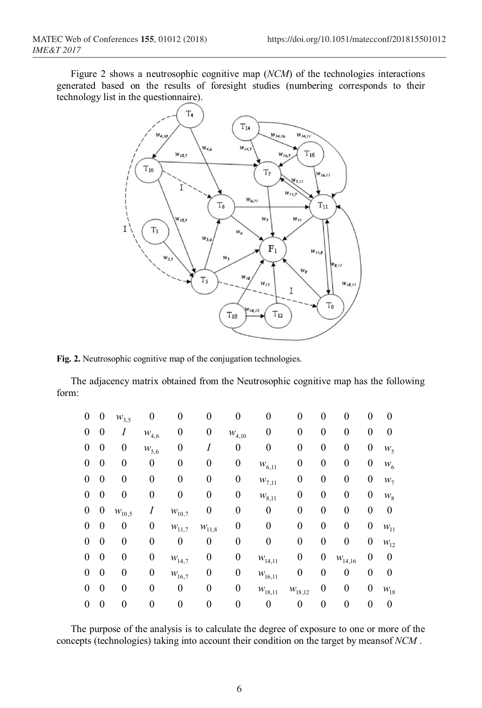Figure 2 shows a neutrosophic cognitive map (*NCM*) of the technologies interactions generated based on the results of foresight studies (numbering corresponds to their technology list in the questionnaire).



**Fig. 2.** Neutrosophic cognitive map of the conjugation technologies.

The adjacency matrix obtained from the Neutrosophic cognitive map has the following form:

| $\overline{0}$ | $\boldsymbol{0}$ | $W_{3,5}$  | $\boldsymbol{0}$ | $\pmb{0}$            | 0          | $\theta$             |                       | $\theta$         | $\boldsymbol{0}$ | 0                | 0 | 0               |
|----------------|------------------|------------|------------------|----------------------|------------|----------------------|-----------------------|------------------|------------------|------------------|---|-----------------|
| $\theta$       | 0                |            | $W_{4,6}$        | 0                    | 0          | $\mathcal{W}_{4,10}$ | 0                     | 0                | 0                | 0                | 0 | 0               |
| $\theta$       | 0                | $\theta$   | $W_{5,6}$        | 0                    |            | $\theta$             | 0                     | $\overline{0}$   | 0                | $\boldsymbol{0}$ | 0 | $W_5$           |
| $\theta$       | 0                | 0          | 0                | 0                    | 0          | $\boldsymbol{0}$     | $W_{6,11}$            | 0                | 0                | 0                | 0 | $W_6$           |
| $\theta$       | 0                | 0          | 0                | 0                    | 0          | $\boldsymbol{0}$     | $w_{7,11}$            | 0                | 0                | 0                | 0 | $W_7$           |
| $\theta$       | 0                | 0          | 0                | 0                    | 0          | $\boldsymbol{0}$     | $\mathcal{W}_{8,11}$  | 0                | 0                | 0                | 0 | $\mathcal{W}_8$ |
| $\theta$       | $\boldsymbol{0}$ | $W_{10,5}$ |                  | $\mathcal{W}_{10,7}$ |            | 0                    | 0                     | 0                | 0                | 0                | 0 | 0               |
| $\theta$       | 0                | 0          | $\boldsymbol{0}$ | $W_{11,7}$           | $W_{11,8}$ | 0                    | 0                     | 0                | 0                | 0                | 0 | $W_{11}$        |
| $\theta$       | $\boldsymbol{0}$ | 0          | 0                | 0                    | 0          | 0                    |                       | 0                | 0                | 0                | 0 | $W_{12}$        |
| $\theta$       | $\boldsymbol{0}$ | 0          | $\boldsymbol{0}$ | $\mathcal{W}_{14,7}$ | 0          | $\boldsymbol{0}$     | $\mathcal{W}_{14,11}$ | 0                | $\boldsymbol{0}$ | $W_{14,16}$      | 0 | 0               |
| $\theta$       | $\boldsymbol{0}$ | 0          | $\boldsymbol{0}$ | $W_{16,7}$           | 0          | $\theta$             | $\mathcal{W}_{16,11}$ | 0                | $\boldsymbol{0}$ | $\theta$         | 0 | 0               |
| $\theta$       | 0                | 0          | $\theta$         | 0                    | 0          | $\theta$             | $W_{18,11}$           | $W_{18,12}$      | 0                | 0                | 0 | $W_{18}$        |
| 0              | $\boldsymbol{0}$ | 0          | 0                | 0                    |            | 0                    | 0                     | $\boldsymbol{0}$ | 0                | 0                | 0 | 0               |

The purpose of the analysis is to calculate the degree of exposure to one or more of the concepts (technologies) taking into account their condition on the target by meansof *NCM* .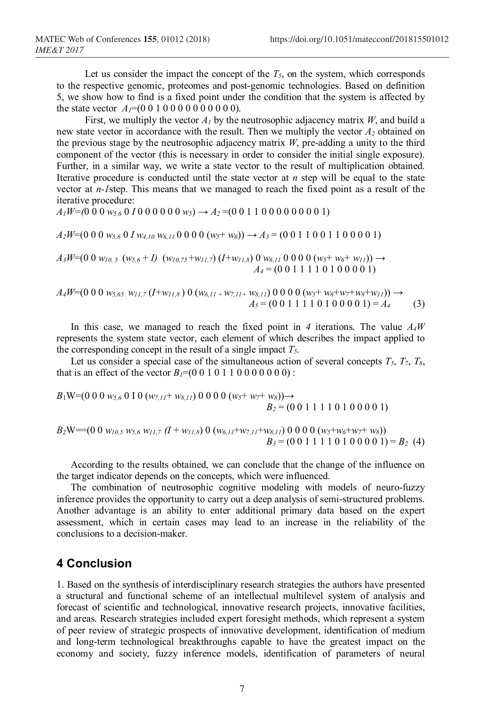Let us consider the impact the concept of the  $T<sub>5</sub>$ , on the system, which corresponds to the respective genomic, proteomes and post-genomic technologies. Based on definition 5, we show how to find is a fixed point under the condition that the system is affected by the state vector  $A_1=(0\ 0\ 1\ 0\ 0\ 0\ 0\ 0\ 0\ 0\ 0)$ .

First, we multiply the vector  $A<sub>l</sub>$  by the neutrosophic adjacency matrix *W*, and build a new state vector in accordance with the result. Then we multiply the vector *A2* obtained on the previous stage by the neutrosophic adjacency matrix *W*, pre-adding a unity to the third component of the vector (this is necessary in order to consider the initial single exposure). Further, in a similar way, we write a state vector to the result of multiplication obtained. Iterative procedure is conducted until the state vector at *n* step will be equal to the state vector at *n-1*step. This means that we managed to reach the fixed point as a result of the iterative procedure:

$$
A_1W=(0\ 0\ 0\ w_{5,6}\ 0\ 1\ 0\ 0\ 0\ 0\ 0\ w_{5})\rightarrow A_2=(0\ 0\ 1\ 1\ 0\ 0\ 0\ 0\ 0\ 0\ 0\ 0\ 1)
$$

 $A_2W=(0\ 0\ 0\ w_{5,6}\ 0\ I\ w_{4,10}\ w_{6,11}\ 0\ 0\ 0\ 0\ (w_5+w_6))\rightarrow A_3=(0\ 0\ 1\ 1\ 0\ 0\ 1\ 1\ 0\ 0\ 0\ 0\ 1)$ 

$$
A_3W=(0\ 0\ w_{10,5}\ (w_{5,6}+I)\ (w_{10,75}+w_{11,7})(I+w_{11,8})\ 0\ w_{6,11}\ 0\ 0\ 0\ 0\ (w_5+w_6+w_{11}))\rightarrow
$$
  

$$
A_4=(0\ 0\ 1\ 1\ 1\ 1\ 0\ 1\ 0\ 0\ 0\ 0\ 1)
$$

 $A_4W=(0 0 0 w_{5,65} w_{11,7} (I+w_{11,8}) 0 (w_{6,11} w_{7,11} w_{8,11}) 0 0 0 0 (w_5+w_6+w_7+w_8+w_{11})$  →  $A_5 = (0\ 0\ 1\ 1\ 1\ 1\ 0\ 1\ 0\ 0\ 0\ 0\ 1) = A_4$  (3)

In this case, we managed to reach the fixed point in *4* iterations. The value *A4W* represents the system state vector, each element of which describes the impact applied to the corresponding concept in the result of a single impact  $T<sub>5</sub>$ .

Let us consider a special case of the simultaneous action of several concepts  $T_5$ ,  $T_7$ ,  $T_8$ , that is an effect of the vector  $B_1=(0\ 0\ 1\ 0\ 1\ 0\ 0\ 0\ 0\ 0\ 0)$ :

$$
B_1W=(0\ 0\ 0\ w_{5,6}\ 0\ 1\ 0\ (w_{7,11}+w_{8,11})\ 0\ 0\ 0\ 0\ (w_5+w_7+w_8))\rightarrow
$$
  

$$
B_2=(0\ 0\ 1\ 1\ 1\ 1\ 0\ 1\ 0\ 0\ 0\ 0\ 1)
$$

$$
B_2W = (0\ 0\ w_{10,5}\ w_{5,6}\ w_{11,7}\ (I + w_{11,8})\ 0\ (w_{6,11} + w_{7,11} + w_{8,11})\ 0\ 0\ 0\ 0\ (w_5 + w_6 + w_7 + w_8))
$$
  
\n
$$
B_3 = (0\ 0\ 1\ 1\ 1\ 1\ 0\ 1\ 0\ 0\ 0\ 0\ 1) = B_2\ (4)
$$

According to the results obtained, we can conclude that the change of the influence on the target indicator depends on the concepts, which were influenced.

The combination of neutrosophic cognitive modeling with models of neuro-fuzzy inference provides the opportunity to carry out a deep analysis of semi-structured problems. Another advantage is an ability to enter additional primary data based on the expert assessment, which in certain cases may lead to an increase in the reliability of the conclusions to a decision-maker.

## **4 Conclusion**

1. Based on the synthesis of interdisciplinary research strategies the authors have presented a structural and functional scheme of an intellectual multilevel system of analysis and forecast of scientific and technological, innovative research projects, innovative facilities, and areas. Research strategies included expert foresight methods, which represent a system of peer review of strategic prospects of innovative development, identification of medium and long-term technological breakthroughs capable to have the greatest impact on the economy and society, fuzzy inference models, identification of parameters of neural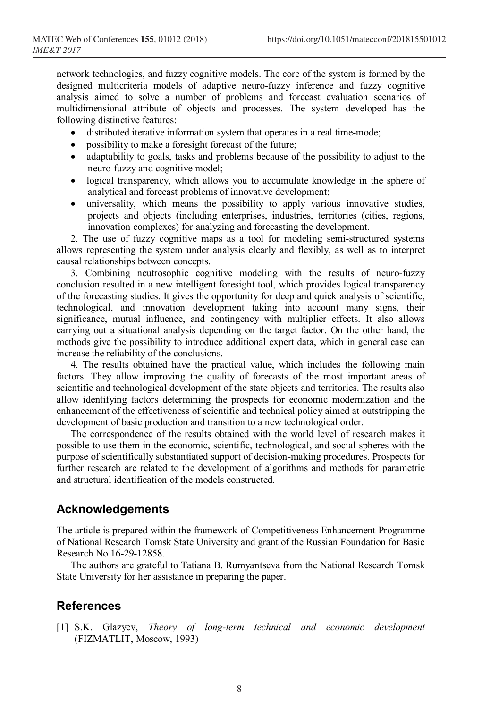network technologies, and fuzzy cognitive models. The core of the system is formed by the designed multicriteria models of adaptive neuro-fuzzy inference and fuzzy cognitive analysis aimed to solve a number of problems and forecast evaluation scenarios of multidimensional attribute of objects and processes. The system developed has the following distinctive features:

- distributed iterative information system that operates in a real time-mode;
- possibility to make a foresight forecast of the future;
- adaptability to goals, tasks and problems because of the possibility to adjust to the neuro-fuzzy and cognitive model;
- logical transparency, which allows you to accumulate knowledge in the sphere of analytical and forecast problems of innovative development;
- universality, which means the possibility to apply various innovative studies, projects and objects (including enterprises, industries, territories (cities, regions, innovation complexes) for analyzing and forecasting the development.

2. The use of fuzzy cognitive maps as a tool for modeling semi-structured systems allows representing the system under analysis clearly and flexibly, as well as to interpret causal relationships between concepts.

3. Combining neutrosophic cognitive modeling with the results of neuro-fuzzy conclusion resulted in a new intelligent foresight tool, which provides logical transparency of the forecasting studies. It gives the opportunity for deep and quick analysis of scientific, technological, and innovation development taking into account many signs, their significance, mutual influence, and contingency with multiplier effects. It also allows carrying out a situational analysis depending on the target factor. On the other hand, the methods give the possibility to introduce additional expert data, which in general case can increase the reliability of the conclusions.

4. The results obtained have the practical value, which includes the following main factors. They allow improving the quality of forecasts of the most important areas of scientific and technological development of the state objects and territories. The results also allow identifying factors determining the prospects for economic modernization and the enhancement of the effectiveness of scientific and technical policy aimed at outstripping the development of basic production and transition to a new technological order.

The correspondence of the results obtained with the world level of research makes it possible to use them in the economic, scientific, technological, and social spheres with the purpose of scientifically substantiated support of decision-making procedures. Prospects for further research are related to the development of algorithms and methods for parametric and structural identification of the models constructed.

# **Acknowledgements**

The article is prepared within the framework of Competitiveness Enhancement Programme of National Research Tomsk State University and grant of the Russian Foundation for Basic Research No 16-29-12858.

The authors are grateful to Tatiana B. Rumyantseva from the National Research Tomsk State University for her assistance in preparing the paper.

## **References**

[1] S.K. Glazyev, *Theory of long-term technical and economic development*  (FIZMATLIT, Moscow, 1993)